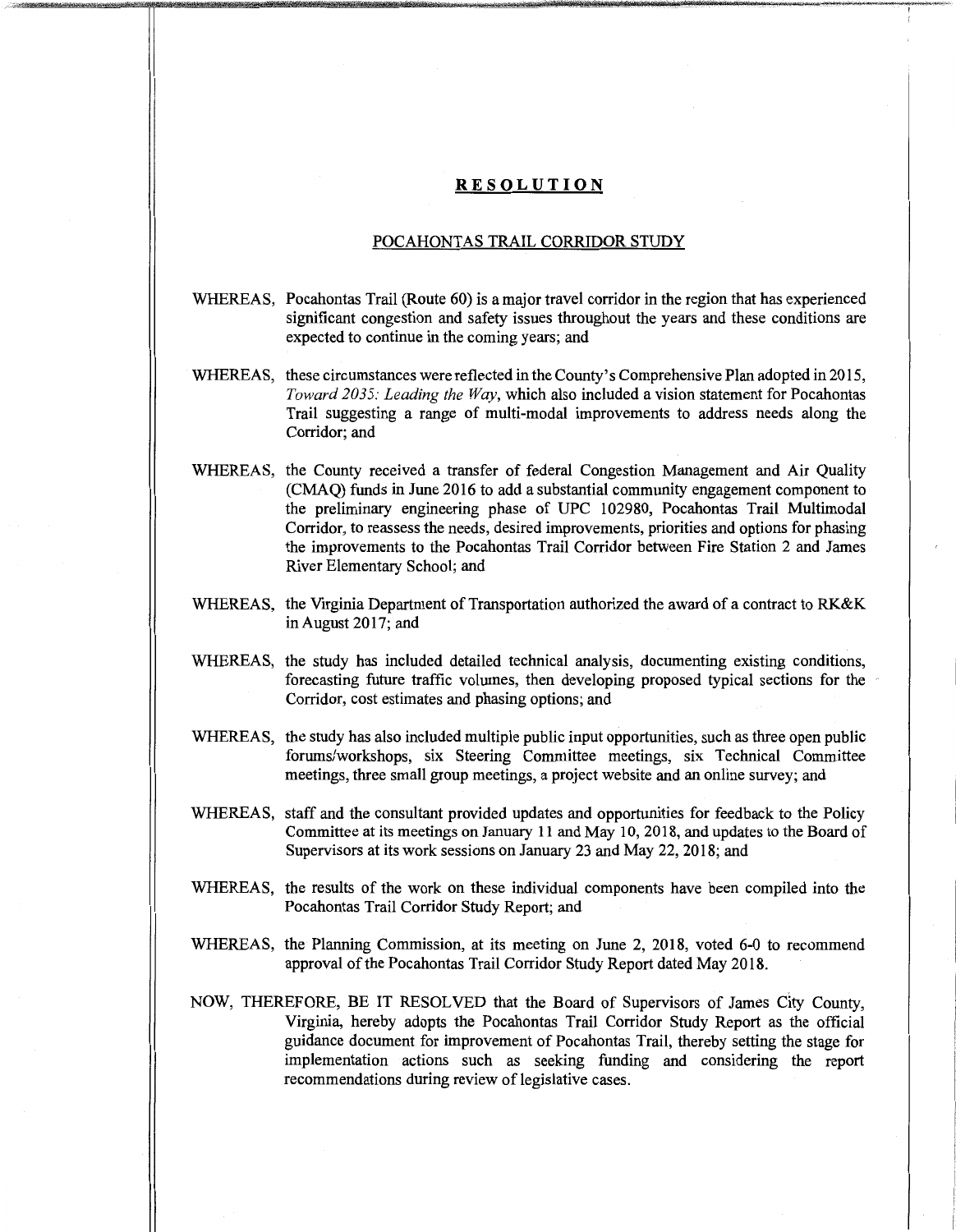## **RESOLUTION**

## POCAHONTAS TRAIL CORRIDOR STUDY

- WHEREAS, Pocahontas Trail (Route 60) is a major travel corridor in the region that has experienced significant congestion and safety issues throughout the years and these conditions are expected to continue in the coming years; and
- WHEREAS, these circumstances were reflected in the County's Comprehensive Plan adopted in 2015, *Toward 2035: Leading the Way,* which also included a vision statement for Pocahontas Trail suggesting a range of multi-modal improvements to address needs along the Corridor; and
- WHEREAS, the County received a transfer of federal Congestion Management and Air Quality (CMAQ) funds in June 2016 to add a substantial community engagement component to the preliminary engineering phase of UPC 102980, Pocahontas Trail Multimodal Corridor, to reassess the needs, desired improvements, priorities and options for phasing the improvements to the Pocahontas Trail Corridor between Fire Station 2 and James River Elementary School; and
- WHEREAS, the Virginia Department of Transportation authorized the award of a contract to **RK&K**  inAugust2017; and
- WHEREAS, the study has included detailed technical analysis, documenting existing conditions, forecasting future traffic volumes, then developing proposed typical sections for the Corridor, cost estimates and phasing options; and
- WHEREAS, the study has also included multiple public input opportunities, such as three open public forums/workshops, six Steering Committee meetings, six Technical Committee meetings, three small group meetings, a project website and an online survey; and
- WHEREAS, staff and the consultant provided updates and opportunities for feedback to the Policy Committee at its meetings on January 11 and May 10, 2018, and updates to the Board of Supervisors at its work sessions on January 23 and May 22, 2018; and
- WHEREAS, the results of the work on these individual components have been compiled into the Pocahontas Trail Corridor Study Report; and
- WHEREAS, the Planning Commission, at its meeting on June 2, 2018, voted 6-0 to recommend approval of the Pocahontas Trail Corridor Study Report dated May 2018.
- NOW, THEREFORE, BE IT RESOLVED that the Board of Supervisors of James City County, Virginia, hereby adopts the Pocahontas Trail Corridor Study Report as the official guidance document for improvement of Pocahontas Trail, thereby setting the stage for implementation actions such as seeking funding and considering the report recommendations during review of legislative cases.